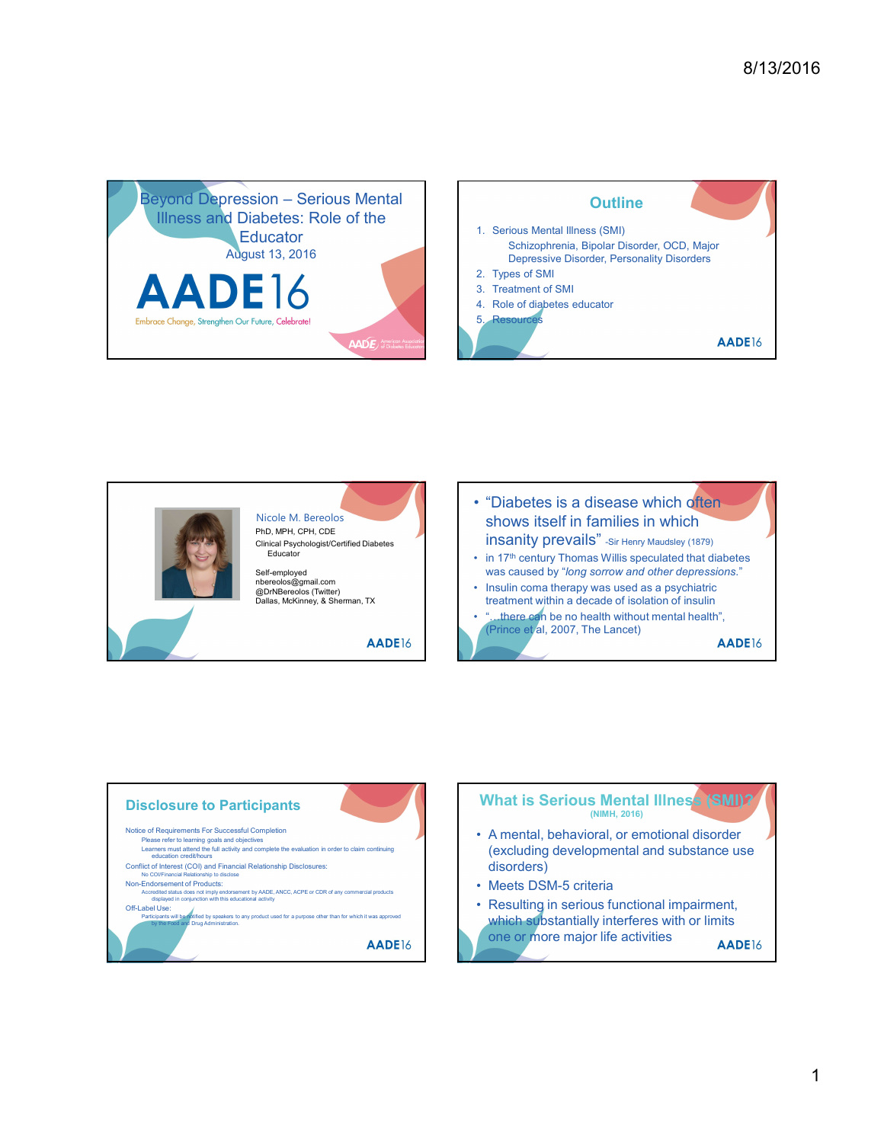





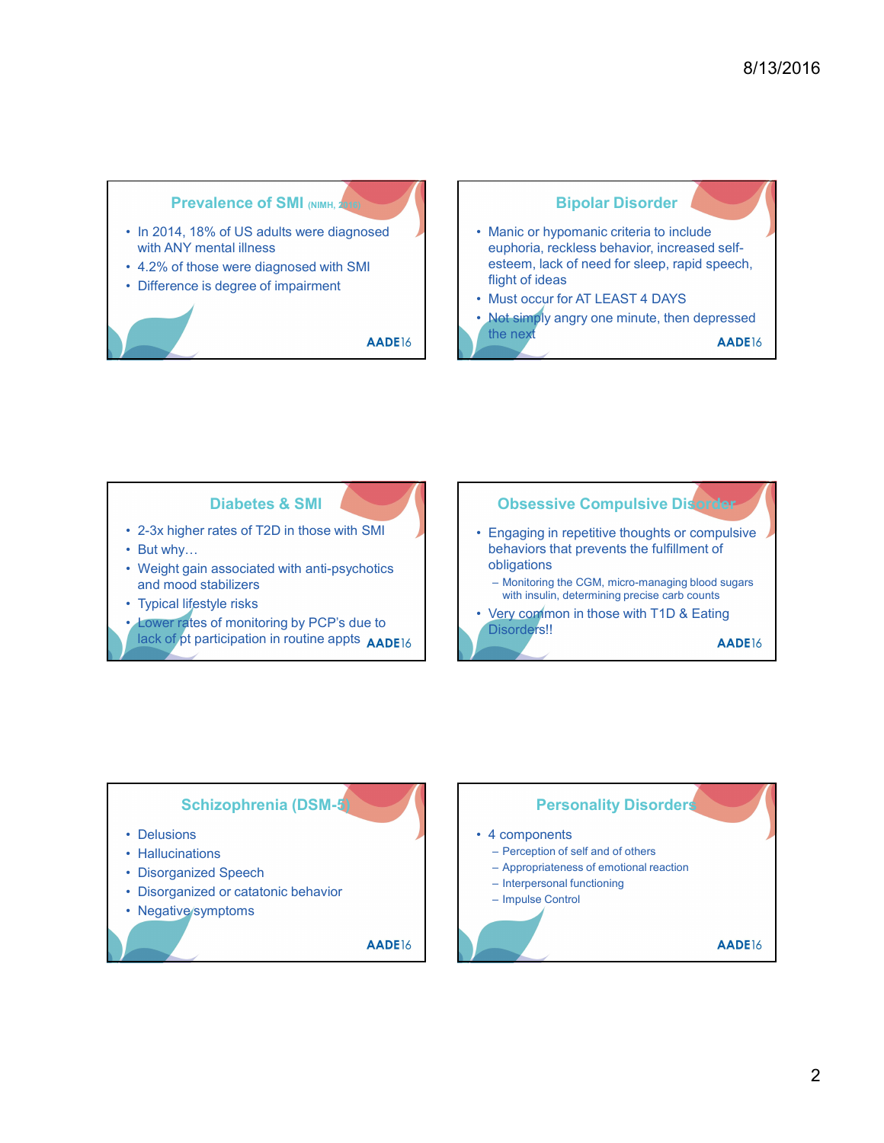





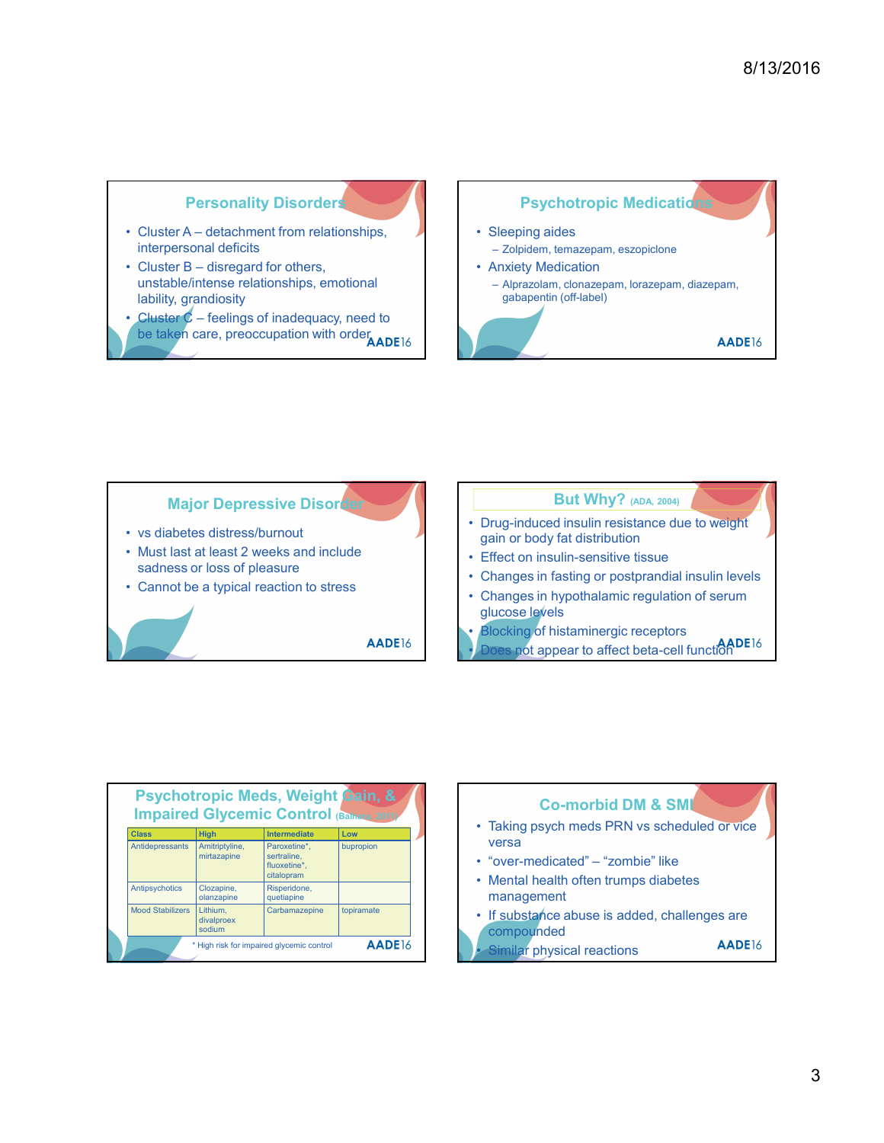## Personality Disorders

- interpersonal deficits and the contract of the contract of the contract of the contract of the contract of the contract of the contract of the contract of the contract of the contract of the contract of the contract of the
- lability, grandiosity
- be taken care, preoccupation with order AADE16





| <b>Class</b>            | <b>High</b>                      | <b>Intermediate</b>                                       | Low        |
|-------------------------|----------------------------------|-----------------------------------------------------------|------------|
| Antidepressants         | Amitriptyline,<br>mirtazapine    | Paroxetine*.<br>sertraline.<br>fluoxetine*.<br>citalopram | bupropion  |
| Antipsychotics          | Clozapine,<br>olanzapine         | Risperidone,<br>quetiapine                                |            |
| <b>Mood Stabilizers</b> | Lithium.<br>divalproex<br>sodium | Carbamazepine                                             | topiramate |

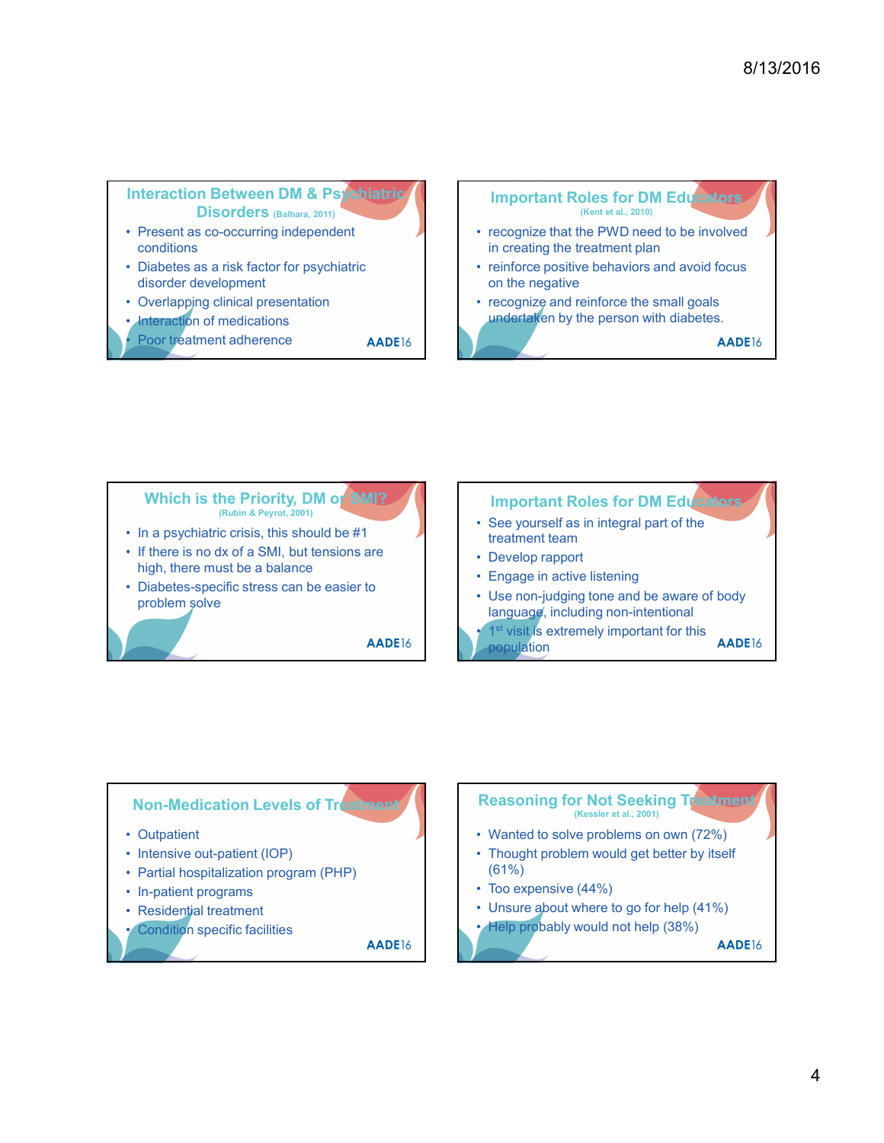





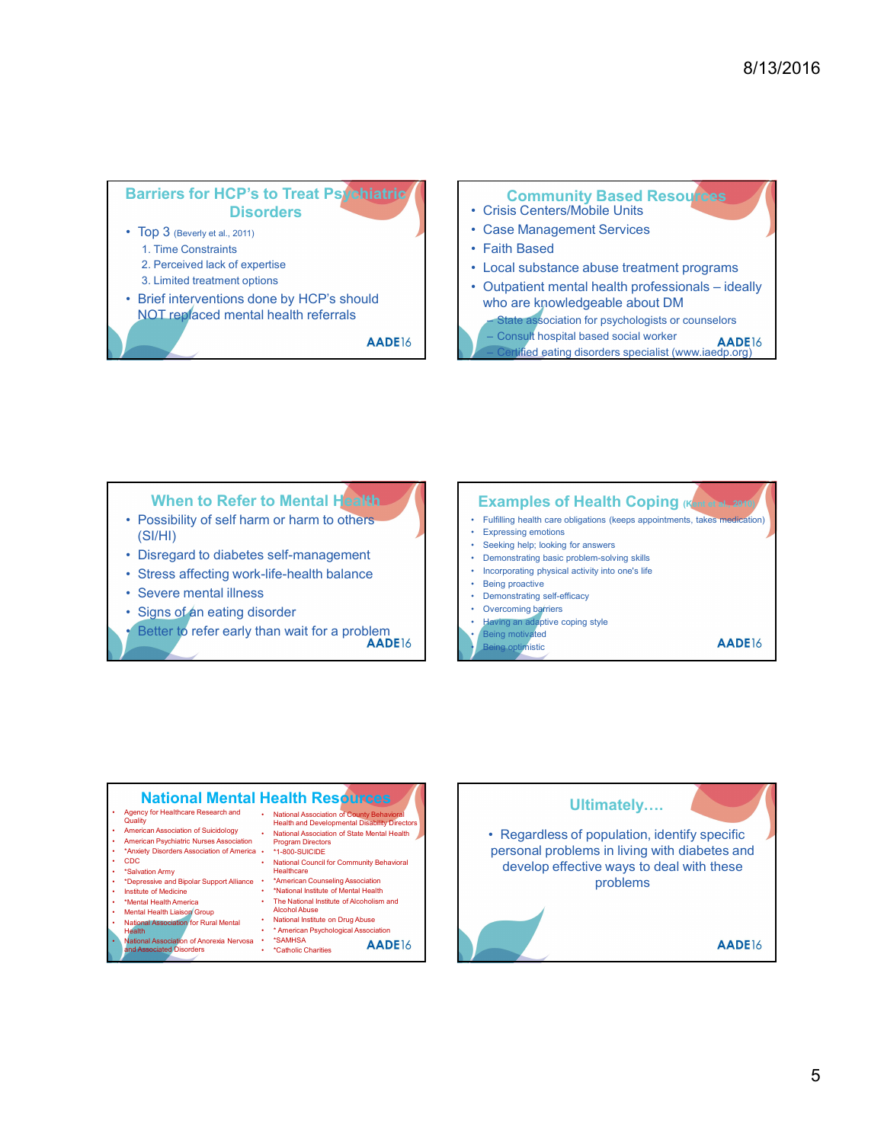## **Barriers for HCP's to Treat Psychiatric** Disorders **Disorders Content Content Content Content Content Content Content Content Content Content Content Content Content Content Content Content Content Content Content Content Content Content Content Content Content** Extriers for HCP's to Treat Psychiatric<br>
Disorders<br>
• Top 3 (Beverly et al., 2011)<br>
• Crisis Centers/Mobile<br>
• Crisis Centers/Mobile<br>
• Case Management St<br>
• Case Management St<br>
• Case Management St<br>
• Case Management St<br> arriers for HCP's to Treat Psychiatric<br>
Disorders<br>
Disorders<br>
1. Time Constaints<br>
1. Time Constantis<br>
2. Perceived lack of expertise<br>
2. The Constant of Section Constant Server and Accounts<br>
2. Perceived mental health refe experience of the text of expertise<br>
2. Perceived lack of expertise<br>
2. Perceived lack of expertise<br>
2. Perceived lack of expertise<br>
2. Perceived lack of expertise<br>
2. Perceived lack of expertise<br>
2. Perceived lack of expe extriers for HCP's to Treat Psychiatric<br>
Disorders<br>
Disorders<br>
2. Perceived lack of species<br>
3. Limited treatment options<br>
3. Limited treatment options<br>
3. Limited treatment options<br>
3. Cocal substance abuse the consult of Barriers for HCP's to Treat Psychiatric<br>
Disorders<br>
• Top 3 (Beverly et al. 2011)<br>
• Case Management Steven Contains<br>
• Faith Based<br>
• Experiment Steven Contains<br>
• Brief interventions done by HCP's should<br>
• Case Monde Ro NOT replaced mental health referrals and the state association for psychologists or counselors **Barriers for HCP's to Treat Ps/vehiatric**<br>
• Disorders<br>
• Crisis Centers/Mobile<br>
• Case Management States<br>
• Case Management States<br>
• State harm or harm to the prime of the consulting the special control<br>
• States speci Barriers for HCP's to Treat Psychiatric<br>
• Top 3 ⊕every et al...2011)<br>
• Crisis Centers/Mobile<br>
• Crisis Centers/Mobile<br>
• Crisis Centers/Mobile<br>
• Crisis Centers/Mobile<br>
• Crisis Centers/Mobile<br>
• Crisis Centers/Mobile<br> **Community Based Resources** 8/13/2016<br>
Community Based Resources<br>
• Crisis Centers/Mobile Units<br>
• Case Management Services<br>
• Faith Based<br>
• Local substance abuse treatment programs<br>
• Outpatient mental health professionals – ideally<br>
who are knowle 8/13/2016<br>
Community Based Resources<br>
• Crisis Centers/Mobile Units<br>
• Case Management Services<br>
• Faith Based<br>
• Local substance abuse treatment programs<br>
• Outpatient mental health professionals – ideally<br>
who are knowle 8/13/2016<br>
Community Based Resources<br>
• Crisis Centers/Mobile Units<br>
• Case Management Services<br>
• Faith Based<br>
• Local substance abuse treatment programs<br>
• Outpatient mental health professionals – ideally<br>
who are knowl **8/13/2016**<br>
• Crisis Centers/Mobile Units<br>
• Case Management Services<br>
• Faith Based<br>
• Local substance abuse treatment programs<br>
• Outpatient mental health professionals – ideally<br>
who are knowledgeable about DM<br>
– Corr <sup>9</sup> **8/13/2016**<br>• Crisis Centers/Mobile Units<br>• Case Management Services<br>• Faith Based<br>• Local substance abuse treatment programs<br>• Outpatient mental health professionals – ideally<br>who are knowledgeable about DM<br>• Stepholo who are knowledgeable about DM <sup>2</sup>/13/2016<br>
Strisis Centers/Mobile Units<br>
Crisis Centers/Mobile Units<br>
Case Management Services<br>
Faith Based<br>
Cocal substance abuse treatment programs<br>
Dutpatient mental health professionals – ideally<br>
The association for 8/13/2016<br>
Community Based Resources<br>
Crisis Centers/Mobile Units<br>
Case Management Services<br>
Cocal substance abuse treatment programs<br>
Dutpatient mental health professionals – ideally<br>
who are knowledgeable about DM<br>
- Cha <sup>2</sup><br> **Solution Community Based Resources**<br>
2 Crisis Centers/Mobile Units<br>
Case Management Services<br>
Coal substance abuse treatment programs<br>
Consult hospital based cordinals – ideally<br>
who are knowledgeable about DM<br>
The a • Crisis Centers/Mobile Units<br>• Case Management Services<br>• Faith Based<br>• Local substance abuse treatment programs<br>• Outpatient mental health professionals – ideally<br>who are knowledgeable about DM<br>**State association for pyc Community Based Resources**<br>
• Crisis Centers/Mobile Units<br>
• Case Management Services<br>
• Local substance abuse treatment programs<br>
• Outpatient mental health professionals – ideally<br>
who are knowledgeable about DM<br>
<del>Studi</del> **Community Based Resources**<br>
• Crisis Centers/Mobile Units<br>
• Case Management Services<br>
• Faith Based<br>
• Local substance abuse treatment programs<br>
• Outpatient mental health professionals – ideally<br>
who are knowledgeable a • Crisis Centers/Mobile Units<br>• Case Management Services<br>• Latih Based<br>• Local substance abuse treatment programs<br>• Ucraigation for experimental health professionals – ideally<br>who are knowledgeable about DM<br>— Consult hosp